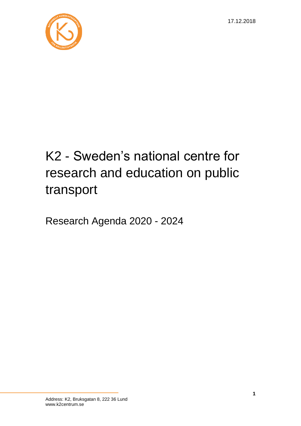

# K2 - Sweden's national centre for research and education on public transport

Research Agenda 2020 - 2024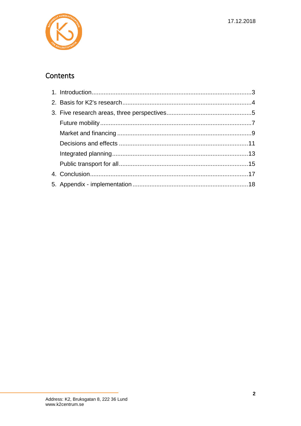

### Contents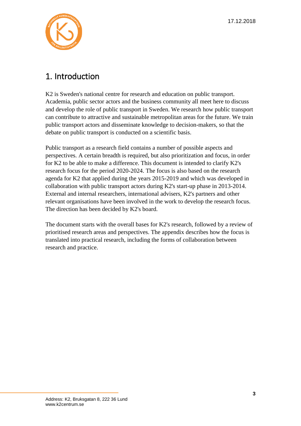

### <span id="page-2-0"></span>1. Introduction

K2 is Sweden's national centre for research and education on public transport. Academia, public sector actors and the business community all meet here to discuss and develop the role of public transport in Sweden. We research how public transport can contribute to attractive and sustainable metropolitan areas for the future. We train public transport actors and disseminate knowledge to decision-makers, so that the debate on public transport is conducted on a scientific basis.

Public transport as a research field contains a number of possible aspects and perspectives. A certain breadth is required, but also prioritization and focus, in order for K2 to be able to make a difference. This document is intended to clarify K2's research focus for the period 2020-2024. The focus is also based on the research agenda for K2 that applied during the years 2015-2019 and which was developed in collaboration with public transport actors during K2's start-up phase in 2013-2014. External and internal researchers, international advisers, K2's partners and other relevant organisations have been involved in the work to develop the research focus. The direction has been decided by K2's board.

The document starts with the overall bases for K2's research, followed by a review of prioritised research areas and perspectives. The appendix describes how the focus is translated into practical research, including the forms of collaboration between research and practice.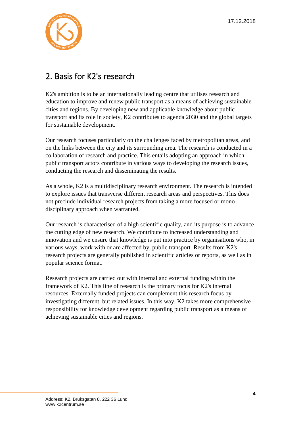

### <span id="page-3-0"></span>2. Basis for K2's research

K2's ambition is to be an internationally leading centre that utilises research and education to improve and renew public transport as a means of achieving sustainable cities and regions. By developing new and applicable knowledge about public transport and its role in society, K2 contributes to agenda 2030 and the global targets for sustainable development.

Our research focuses particularly on the challenges faced by metropolitan areas, and on the links between the city and its surrounding area. The research is conducted in a collaboration of research and practice. This entails adopting an approach in which public transport actors contribute in various ways to developing the research issues, conducting the research and disseminating the results.

As a whole, K2 is a multidisciplinary research environment. The research is intended to explore issues that transverse different research areas and perspectives. This does not preclude individual research projects from taking a more focused or monodisciplinary approach when warranted.

Our research is characterised of a high scientific quality, and its purpose is to advance the cutting edge of new research. We contribute to increased understanding and innovation and we ensure that knowledge is put into practice by organisations who, in various ways, work with or are affected by, public transport. Results from K2's research projects are generally published in scientific articles or reports, as well as in popular science format.

Research projects are carried out with internal and external funding within the framework of K2. This line of research is the primary focus for K2's internal resources. Externally funded projects can complement this research focus by investigating different, but related issues. In this way, K2 takes more comprehensive responsibility for knowledge development regarding public transport as a means of achieving sustainable cities and regions.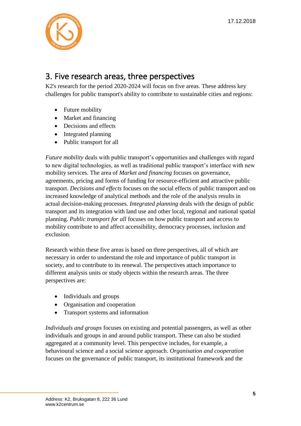

### <span id="page-4-0"></span>3. Five research areas, three perspectives

K2's research for the period 2020-2024 will focus on five areas. These address key challenges for public transport's ability to contribute to sustainable cities and regions:

- Future mobility
- Market and financing
- Decisions and effects
- Integrated planning
- Public transport for all

*Future mobility* deals with public transport's opportunities and challenges with regard to new digital technologies, as well as traditional public transport's interface with new mobility services. The area of *Market and financing* focuses on governance, agreements, pricing and forms of funding for resource-efficient and attractive public transport. *Decisions and effects* focuses on the social effects of public transport and on increased knowledge of analytical methods and the role of the analysis results in actual decision-making processes. *Integrated planning* deals with the design of public transport and its integration with land use and other local, regional and national spatial planning. *Public transport for all* focuses on how public transport and access to mobility contribute to and affect accessibility, democracy processes, inclusion and exclusion.

Research within these five areas is based on three perspectives, all of which are necessary in order to understand the role and importance of public transport in society, and to contribute to its renewal. The perspectives attach importance to different analysis units or study objects within the research areas. The three perspectives are:

- Individuals and groups
- Organisation and cooperation
- Transport systems and information

*Individuals and groups* focuses on existing and potential passengers, as well as other individuals and groups in and around public transport. These can also be studied aggregated at a community level. This perspective includes, for example, a behavioural science and a social science approach. *Organisation and cooperation* focuses on the governance of public transport, its institutional framework and the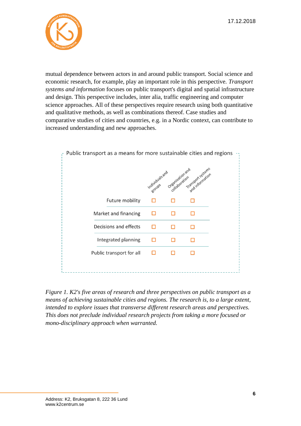17.12.2018



mutual dependence between actors in and around public transport. Social science and economic research, for example, play an important role in this perspective. *Transport systems and information* focuses on public transport's digital and spatial infrastructure and design. This perspective includes, inter alia, traffic engineering and computer science approaches. All of these perspectives require research using both quantitative and qualitative methods, as well as combinations thereof. Case studies and comparative studies of cities and countries, e.g. in a Nordic context, can contribute to increased understanding and new approaches.



*Figure 1. K2's five areas of research and three perspectives on public transport as a means of achieving sustainable cities and regions. The research is, to a large extent, intended to explore issues that transverse different research areas and perspectives. This does not preclude individual research projects from taking a more focused or mono-disciplinary approach when warranted.*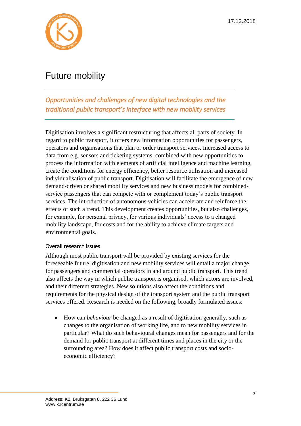

### <span id="page-6-0"></span>Future mobility

*Opportunities and challenges of new digital technologies and the traditional public transport's interface with new mobility services* 

Digitisation involves a significant restructuring that affects all parts of society. In regard to public transport, it offers new information opportunities for passengers, operators and organisations that plan or order transport services. Increased access to data from e.g. sensors and ticketing systems, combined with new opportunities to process the information with elements of artificial intelligence and machine learning, create the conditions for energy efficiency, better resource utilisation and increased individualisation of public transport. Digitisation will facilitate the emergence of new demand-driven or shared mobility services and new business models for combinedservice passengers that can compete with or complement today's public transport services. The introduction of autonomous vehicles can accelerate and reinforce the effects of such a trend. This development creates opportunities, but also challenges, for example, for personal privacy, for various individuals' access to a changed mobility landscape, for costs and for the ability to achieve climate targets and environmental goals.

#### Overall research issues

Although most public transport will be provided by existing services for the foreseeable future, digitisation and new mobility services will entail a major change for passengers and commercial operators in and around public transport. This trend also affects the way in which public transport is organised, which actors are involved, and their different strategies. New solutions also affect the conditions and requirements for the physical design of the transport system and the public transport services offered. Research is needed on the following, broadly formulated issues:

• How can *behaviour* be changed as a result of digitisation generally, such as changes to the organisation of working life, and to new mobility services in particular? What do such behavioural changes mean for passengers and for the demand for public transport at different times and places in the city or the surrounding area? How does it affect public transport costs and socioeconomic efficiency?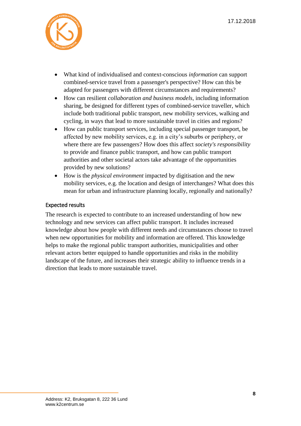

- What kind of individualised and context-conscious *information* can support combined-service travel from a passenger's perspective? How can this be adapted for passengers with different circumstances and requirements?
- How can resilient *collaboration and business models*, including information sharing, be designed for different types of combined-service traveller, which include both traditional public transport, new mobility services, walking and cycling, in ways that lead to more sustainable travel in cities and regions?
- How can public transport services, including special passenger transport, be affected by new mobility services, e.g. in a city's suburbs or periphery, or where there are few passengers? How does this affect *society's responsibility* to provide and finance public transport, and how can public transport authorities and other societal actors take advantage of the opportunities provided by new solutions?
- How is the *physical environment* impacted by digitisation and the new mobility services, e.g. the location and design of interchanges? What does this mean for urban and infrastructure planning locally, regionally and nationally?

#### Expected results

The research is expected to contribute to an increased understanding of how new technology and new services can affect public transport. It includes increased knowledge about how people with different needs and circumstances choose to travel when new opportunities for mobility and information are offered. This knowledge helps to make the regional public transport authorities, municipalities and other relevant actors better equipped to handle opportunities and risks in the mobility landscape of the future, and increases their strategic ability to influence trends in a direction that leads to more sustainable travel.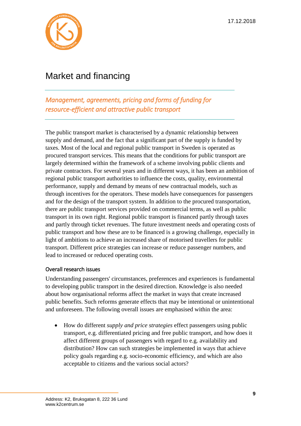

# <span id="page-8-0"></span>Market and financing

*Management, agreements, pricing and forms of funding for resource-efficient and attractive public transport* 

The public transport market is characterised by a dynamic relationship between supply and demand, and the fact that a significant part of the supply is funded by taxes. Most of the local and regional public transport in Sweden is operated as procured transport services. This means that the conditions for public transport are largely determined within the framework of a scheme involving public clients and private contractors. For several years and in different ways, it has been an ambition of regional public transport authorities to influence the costs, quality, environmental performance, supply and demand by means of new contractual models, such as through incentives for the operators. These models have consequences for passengers and for the design of the transport system. In addition to the procured transportation, there are public transport services provided on commercial terms, as well as public transport in its own right. Regional public transport is financed partly through taxes and partly through ticket revenues. The future investment needs and operating costs of public transport and how these are to be financed is a growing challenge, especially in light of ambitions to achieve an increased share of motorised travellers for public transport. Different price strategies can increase or reduce passenger numbers, and lead to increased or reduced operating costs.

#### Overall research issues

Understanding passengers' circumstances, preferences and experiences is fundamental to developing public transport in the desired direction. Knowledge is also needed about how organisational reforms affect the market in ways that create increased public benefits. Such reforms generate effects that may be intentional or unintentional and unforeseen. The following overall issues are emphasised within the area:

• How do different *supply and price strategies* effect passengers using public transport, e.g. differentiated pricing and free public transport, and how does it affect different groups of passengers with regard to e.g. availability and distribution? How can such strategies be implemented in ways that achieve policy goals regarding e.g. socio-economic efficiency, and which are also acceptable to citizens and the various social actors?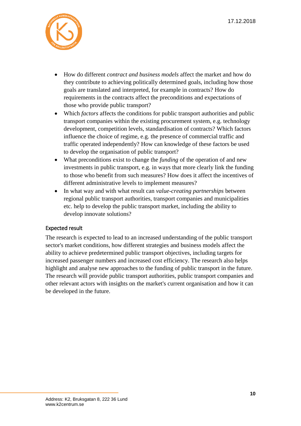

- How do different *contract and business models* affect the market and how do they contribute to achieving politically determined goals, including how those goals are translated and interpreted, for example in contracts? How do requirements in the contracts affect the preconditions and expectations of those who provide public transport?
- Which *factors* affects the conditions for public transport authorities and public transport companies within the existing procurement system, e.g. technology development, competition levels, standardisation of contracts? Which factors influence the choice of regime, e.g. the presence of commercial traffic and traffic operated independently? How can knowledge of these factors be used to develop the organisation of public transport?
- What preconditions exist to change the *funding* of the operation of and new investments in public transport, e.g. in ways that more clearly link the funding to those who benefit from such measures? How does it affect the incentives of different administrative levels to implement measures?
- In what way and with what result can *value-creating partnerships* between regional public transport authorities, transport companies and municipalities etc. help to develop the public transport market, including the ability to develop innovate solutions?

#### Expected result

The research is expected to lead to an increased understanding of the public transport sector's market conditions, how different strategies and business models affect the ability to achieve predetermined public transport objectives, including targets for increased passenger numbers and increased cost efficiency. The research also helps highlight and analyse new approaches to the funding of public transport in the future. The research will provide public transport authorities, public transport companies and other relevant actors with insights on the market's current organisation and how it can be developed in the future.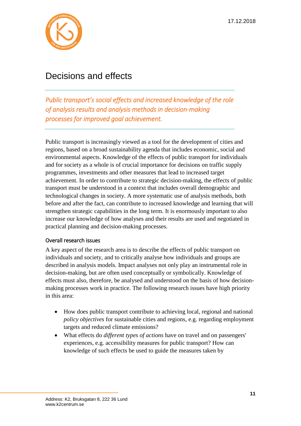

### <span id="page-10-0"></span>Decisions and effects

*Public transport's social effects and increased knowledge of the role of analysis results and analysis methods in decision-making processes for improved goal achievement.*

Public transport is increasingly viewed as a tool for the development of cities and regions, based on a broad sustainability agenda that includes economic, social and environmental aspects. Knowledge of the effects of public transport for individuals and for society as a whole is of crucial importance for decisions on traffic supply programmes, investments and other measures that lead to increased target achievement. In order to contribute to strategic decision-making, the effects of public transport must be understood in a context that includes overall demographic and technological changes in society. A more systematic use of analysis methods, both before and after the fact, can contribute to increased knowledge and learning that will strengthen strategic capabilities in the long term. It is enormously important to also increase our knowledge of how analyses and their results are used and negotiated in practical planning and decision-making processes.

#### Overall research issues

A key aspect of the research area is to describe the effects of public transport on individuals and society, and to critically analyse how individuals and groups are described in analysis models. Impact analyses not only play an instrumental role in decision-making, but are often used conceptually or symbolically. Knowledge of effects must also, therefore, be analysed and understood on the basis of how decisionmaking processes work in practice. The following research issues have high priority in this area:

- How does public transport contribute to achieving local, regional and national *policy objectives* for sustainable cities and regions, e.g. regarding employment targets and reduced climate emissions?
- What effects do *different types of actions* have on travel and on passengers' experiences, e.g. accessibility measures for public transport? How can knowledge of such effects be used to guide the measures taken by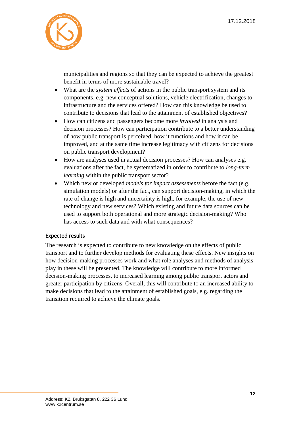

municipalities and regions so that they can be expected to achieve the greatest benefit in terms of more sustainable travel?

- What are the *system effects* of actions in the public transport system and its components, e.g. new conceptual solutions, vehicle electrification, changes to infrastructure and the services offered? How can this knowledge be used to contribute to decisions that lead to the attainment of established objectives?
- How can citizens and passengers become more *involved* in analysis and decision processes? How can participation contribute to a better understanding of how public transport is perceived, how it functions and how it can be improved, and at the same time increase legitimacy with citizens for decisions on public transport development?
- How are analyses used in actual decision processes? How can analyses e.g. evaluations after the fact, be systematized in order to contribute to *long-term learning* within the public transport sector?
- Which new or developed *models for impact assessments* before the fact (e.g. simulation models) or after the fact, can support decision-making, in which the rate of change is high and uncertainty is high, for example, the use of new technology and new services? Which existing and future data sources can be used to support both operational and more strategic decision-making? Who has access to such data and with what consequences?

#### Expected results

The research is expected to contribute to new knowledge on the effects of public transport and to further develop methods for evaluating these effects. New insights on how decision-making processes work and what role analyses and methods of analysis play in these will be presented. The knowledge will contribute to more informed decision-making processes, to increased learning among public transport actors and greater participation by citizens. Overall, this will contribute to an increased ability to make decisions that lead to the attainment of established goals, e.g. regarding the transition required to achieve the climate goals.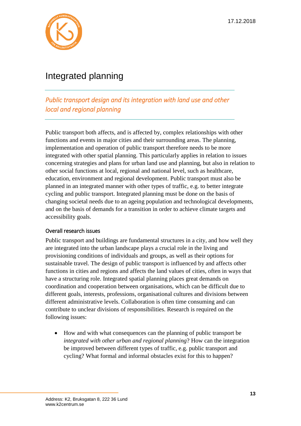

# <span id="page-12-0"></span>Integrated planning

*Public transport design and its integration with land use and other local and regional planning* 

Public transport both affects, and is affected by, complex relationships with other functions and events in major cities and their surrounding areas. The planning, implementation and operation of public transport therefore needs to be more integrated with other spatial planning. This particularly applies in relation to issues concerning strategies and plans for urban land use and planning, but also in relation to other social functions at local, regional and national level, such as healthcare, education, environment and regional development. Public transport must also be planned in an integrated manner with other types of traffic, e.g. to better integrate cycling and public transport. Integrated planning must be done on the basis of changing societal needs due to an ageing population and technological developments, and on the basis of demands for a transition in order to achieve climate targets and accessibility goals.

#### Overall research issues

Public transport and buildings are fundamental structures in a city, and how well they are integrated into the urban landscape plays a crucial role in the living and provisioning conditions of individuals and groups, as well as their options for sustainable travel. The design of public transport is influenced by and affects other functions in cities and regions and affects the land values of cities, often in ways that have a structuring role. Integrated spatial planning places great demands on coordination and cooperation between organisations, which can be difficult due to different goals, interests, professions, organisational cultures and divisions between different administrative levels. Collaboration is often time consuming and can contribute to unclear divisions of responsibilities. Research is required on the following issues:

• How and with what consequences can the planning of public transport be *integrated with other urban and regional planning*? How can the integration be improved between different types of traffic, e.g. public transport and cycling? What formal and informal obstacles exist for this to happen?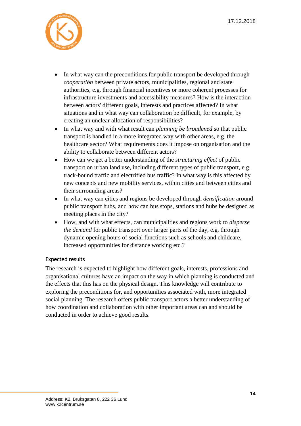

- In what way can the preconditions for public transport be developed through *cooperation* between private actors, municipalities, regional and state authorities, e.g. through financial incentives or more coherent processes for infrastructure investments and accessibility measures? How is the interaction between actors' different goals, interests and practices affected? In what situations and in what way can collaboration be difficult, for example, by creating an unclear allocation of responsibilities?
- In what way and with what result can *planning be broadened* so that public transport is handled in a more integrated way with other areas, e.g. the healthcare sector? What requirements does it impose on organisation and the ability to collaborate between different actors?
- How can we get a better understanding of the *structuring effect* of public transport on urban land use, including different types of public transport, e.g. track-bound traffic and electrified bus traffic? In what way is this affected by new concepts and new mobility services, within cities and between cities and their surrounding areas?
- In what way can cities and regions be developed through *densification* around public transport hubs, and how can bus stops, stations and hubs be designed as meeting places in the city?
- How, and with what effects, can municipalities and regions work to *disperse the demand* for public transport over larger parts of the day, e.g. through dynamic opening hours of social functions such as schools and childcare, increased opportunities for distance working etc.?

#### Expected results

The research is expected to highlight how different goals, interests, professions and organisational cultures have an impact on the way in which planning is conducted and the effects that this has on the physical design. This knowledge will contribute to exploring the preconditions for, and opportunities associated with, more integrated social planning. The research offers public transport actors a better understanding of how coordination and collaboration with other important areas can and should be conducted in order to achieve good results.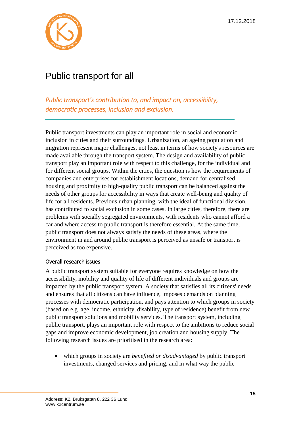

# <span id="page-14-0"></span>Public transport for all

*Public transport's contribution to, and impact on, accessibility, democratic processes, inclusion and exclusion.* 

Public transport investments can play an important role in social and economic inclusion in cities and their surroundings. Urbanization, an ageing population and migration represent major challenges, not least in terms of how society's resources are made available through the transport system. The design and availability of public transport play an important role with respect to this challenge, for the individual and for different social groups. Within the cities, the question is how the requirements of companies and enterprises for establishment locations, demand for centralised housing and proximity to high-quality public transport can be balanced against the needs of other groups for accessibility in ways that create well-being and quality of life for all residents. Previous urban planning, with the ideal of functional division, has contributed to social exclusion in some cases. In large cities, therefore, there are problems with socially segregated environments, with residents who cannot afford a car and where access to public transport is therefore essential. At the same time, public transport does not always satisfy the needs of these areas, where the environment in and around public transport is perceived as unsafe or transport is perceived as too expensive.

#### Overall research issues

A public transport system suitable for everyone requires knowledge on how the accessibility, mobility and quality of life of different individuals and groups are impacted by the public transport system. A society that satisfies all its citizens' needs and ensures that all citizens can have influence, imposes demands on planning processes with democratic participation, and pays attention to which groups in society (based on e.g. age, income, ethnicity, disability, type of residence) benefit from new public transport solutions and mobility services. The transport system, including public transport, plays an important role with respect to the ambitions to reduce social gaps and improve economic development, job creation and housing supply. The following research issues are prioritised in the research area:

• which groups in society are *benefited or disadvantaged* by public transport investments, changed services and pricing, and in what way the public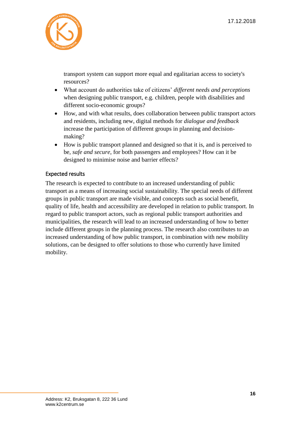

transport system can support more equal and egalitarian access to society's resources?

- What account do authorities take of citizens' *different needs and perceptions* when designing public transport, e.g. children, people with disabilities and different socio-economic groups?
- How, and with what results, does collaboration between public transport actors and residents, including new, digital methods for *dialogue and feedback* increase the participation of different groups in planning and decisionmaking?
- How is public transport planned and designed so that it is, and is perceived to be, *safe and secure*, for both passengers and employees? How can it be designed to minimise noise and barrier effects?

#### Expected results

The research is expected to contribute to an increased understanding of public transport as a means of increasing social sustainability. The special needs of different groups in public transport are made visible, and concepts such as social benefit, quality of life, health and accessibility are developed in relation to public transport. In regard to public transport actors, such as regional public transport authorities and municipalities, the research will lead to an increased understanding of how to better include different groups in the planning process. The research also contributes to an increased understanding of how public transport, in combination with new mobility solutions, can be designed to offer solutions to those who currently have limited mobility.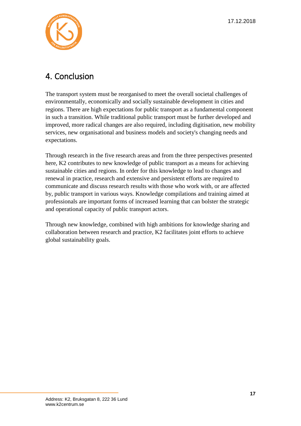

### <span id="page-16-0"></span>4. Conclusion

The transport system must be reorganised to meet the overall societal challenges of environmentally, economically and socially sustainable development in cities and regions. There are high expectations for public transport as a fundamental component in such a transition. While traditional public transport must be further developed and improved, more radical changes are also required, including digitisation, new mobility services, new organisational and business models and society's changing needs and expectations.

Through research in the five research areas and from the three perspectives presented here, K2 contributes to new knowledge of public transport as a means for achieving sustainable cities and regions. In order for this knowledge to lead to changes and renewal in practice, research and extensive and persistent efforts are required to communicate and discuss research results with those who work with, or are affected by, public transport in various ways. Knowledge compilations and training aimed at professionals are important forms of increased learning that can bolster the strategic and operational capacity of public transport actors.

Through new knowledge, combined with high ambitions for knowledge sharing and collaboration between research and practice, K2 facilitates joint efforts to achieve global sustainability goals.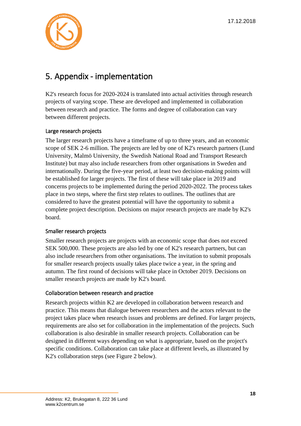

### <span id="page-17-0"></span>5. Appendix - implementation

K2's research focus for 2020-2024 is translated into actual activities through research projects of varying scope. These are developed and implemented in collaboration between research and practice. The forms and degree of collaboration can vary between different projects.

#### Large research projects

The larger research projects have a timeframe of up to three years, and an economic scope of SEK 2-6 million. The projects are led by one of K2's research partners (Lund University, Malmö University, the Swedish National Road and Transport Research Institute) but may also include researchers from other organisations in Sweden and internationally. During the five-year period, at least two decision-making points will be established for larger projects. The first of these will take place in 2019 and concerns projects to be implemented during the period 2020-2022. The process takes place in two steps, where the first step relates to outlines. The outlines that are considered to have the greatest potential will have the opportunity to submit a complete project description. Decisions on major research projects are made by K2's board.

#### Smaller research projects

Smaller research projects are projects with an economic scope that does not exceed SEK 500,000. These projects are also led by one of K2's research partners, but can also include researchers from other organisations. The invitation to submit proposals for smaller research projects usually takes place twice a year, in the spring and autumn. The first round of decisions will take place in October 2019. Decisions on smaller research projects are made by K2's board.

#### Collaboration between research and practice

Research projects within K2 are developed in collaboration between research and practice. This means that dialogue between researchers and the actors relevant to the project takes place when research issues and problems are defined. For larger projects, requirements are also set for collaboration in the implementation of the projects. Such collaboration is also desirable in smaller research projects. Collaboration can be designed in different ways depending on what is appropriate, based on the project's specific conditions. Collaboration can take place at different levels, as illustrated by K2's collaboration steps (see Figure 2 below).